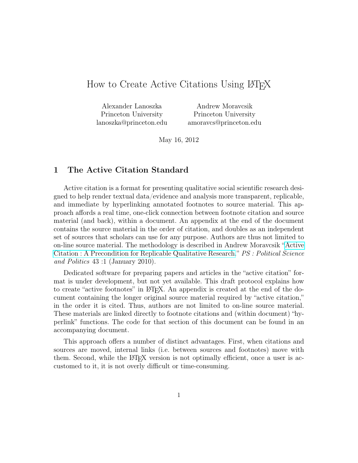# How to Create Active Citations Using LATEX

| Alexander Lanoszka     | Andrew Moravcsik       |
|------------------------|------------------------|
| Princeton University   | Princeton University   |
| lanoszka@princeton.edu | amoravcs@princeton.edu |

May 16, 2012

## 1 The Active Citation Standard

Active citation is a format for presenting qualitative social scientific research designed to help render textual data/evidence and analysis more transparent, replicable, and immediate by hyperlinking annotated footnotes to source material. This approach affords a real time, one-click connection between footnote citation and source material (and back), within a document. An appendix at the end of the document contains the source material in the order of citation, and doubles as an independent set of sources that scholars can use for any purpose. Authors are thus not limited to on-line source material. The methodology is described in Andrew Moravcsik "[Active](http://www.princeton.edu/~amoravcs/library/ps.pdf) [Citation : A Precondition for Replicable Qualitative Research.](http://www.princeton.edu/~amoravcs/library/ps.pdf)" PS : Political Science and Politics 43 :1 (January 2010).

Dedicated software for preparing papers and articles in the "active citation" format is under development, but not yet available. This draft protocol explains how to create "active footnotes" in LAT<sub>EX</sub>. An appendix is created at the end of the document containing the longer original source material required by "active citation," in the order it is cited. Thus, authors are not limited to on-line source material. These materials are linked directly to footnote citations and (within document) "hyperlink" functions. The code for that section of this document can be found in an accompanying document.

This approach offers a number of distinct advantages. First, when citations and sources are moved, internal links (i.e. between sources and footnotes) move with them. Second, while the L<sup>AT</sup>EX version is not optimally efficient, once a user is accustomed to it, it is not overly difficult or time-consuming.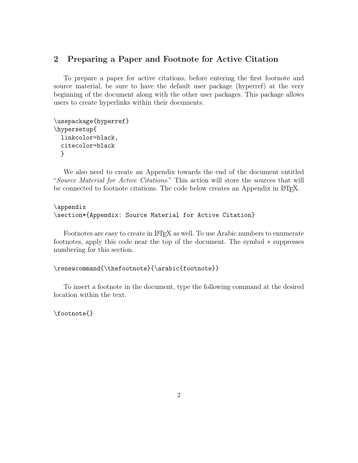# 2 Preparing a Paper and Footnote for Active Citation

To prepare a paper for active citations, before entering the first footnote and source material, be sure to have the default user package (hyperref) at the very beginning of the document along with the other user packages. This package allows users to create hyperlinks within their documents.

```
\usepackage{hyperref}
\hypersetup{
  linkcolor=black,
  citecolor=black
  }
```
We also need to create an Appendix towards the end of the document entitled "Source Material for Active Citations." This action will store the sources that will be connected to footnote citations. The code below creates an Appendix in L<sup>AT</sup>EX.

#### \appendix

```
\section*{Appendix: Source Material for Active Citation}
```
Footnotes are easy to create in LATEX as well. To use Arabic numbers to enumerate footnotes, apply this code near the top of the document. The symbol ∗ suppresses numbering for this section.

```
\renewcommand{\thefootnote}{\arabic{footnote}}
```
To insert a footnote in the document, type the following command at the desired location within the text.

\footnote{}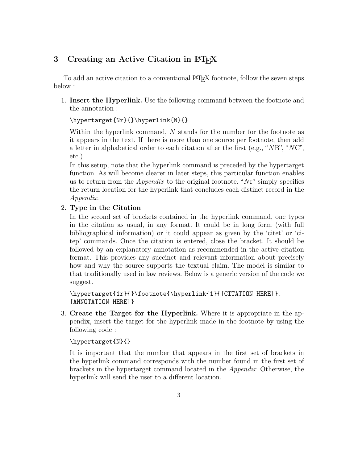# 3 Creating an Active Citation in LAT<sub>EX</sub>

To add an active citation to a conventional LATEX footnote, follow the seven steps below :

1. Insert the Hyperlink. Use the following command between the footnote and the annotation :

\hypertarget{Nr}{}\hyperlink{N}{}

Within the hyperlink command, N stands for the number for the footnote as it appears in the text. If there is more than one source per footnote, then add a letter in alphabetical order to each citation after the first (e.g., " $NB$ ", " $NC$ ", etc.).

In this setup, note that the hyperlink command is preceded by the hypertarget function. As will become clearer in later steps, this particular function enables us to return from the *Appendix* to the original footnote. " $Nr$ " simply specifies the return location for the hyperlink that concludes each distinct record in the Appendix.

### 2. Type in the Citation

In the second set of brackets contained in the hyperlink command, one types in the citation as usual, in any format. It could be in long form (with full bibliographical information) or it could appear as given by the 'citet' or 'citep' commands. Once the citation is entered, close the bracket. It should be followed by an explanatory annotation as recommended in the active citation format. This provides any succinct and relevant information about precisely how and why the source supports the textual claim. The model is similar to that traditionally used in law reviews. Below is a generic version of the code we suggest.

```
\hypertarget{1r}{}\footnote{\hyperlink{1}{[CITATION HERE]}.
[ANNOTATION HERE]}
```
3. Create the Target for the Hyperlink. Where it is appropriate in the appendix, insert the target for the hyperlink made in the footnote by using the following code :

#### \hypertarget{N}{}

It is important that the number that appears in the first set of brackets in the hyperlink command corresponds with the number found in the first set of brackets in the hypertarget command located in the Appendix. Otherwise, the hyperlink will send the user to a different location.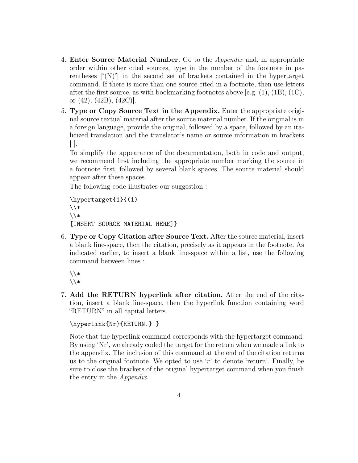- 4. **Enter Source Material Number.** Go to the *Appendix* and, in appropriate order within other cited sources, type in the number of the footnote in parentheses  $\lbrack\!\lbrack'(N)\rbrack\!\rbrack$  in the second set of brackets contained in the hypertarget command. If there is more than one source cited in a footnote, then use letters after the first source, as with bookmarking footnotes above [e.g. (1), (1B), (1C), or (42), (42B), (42C)].
- 5. Type or Copy Source Text in the Appendix. Enter the appropriate original source textual material after the source material number. If the original is in a foreign language, provide the original, followed by a space, followed by an italicized translation and the translator's name or source information in brackets  $\vert \vert$ .

To simplify the appearance of the documentation, both in code and output, we recommend first including the appropriate number marking the source in a footnote first, followed by several blank spaces. The source material should appear after these spaces.

The following code illustrates our suggestion :

```
\hypertarget{1}{(1)
\setminus\setminus[INSERT SOURCE MATERIAL HERE]}
```
6. Type or Copy Citation after Source Text. After the source material, insert a blank line-space, then the citation, precisely as it appears in the footnote. As indicated earlier, to insert a blank line-space within a list, use the following command between lines :

 $\setminus$  $\setminus$ 

7. Add the RETURN hyperlink after citation. After the end of the citation, insert a blank line-space, then the hyperlink function containing word "RETURN" in all capital letters.

```
\hyperlink{Nr}{RETURN.} }
```
Note that the hyperlink command corresponds with the hypertarget command. By using 'Nr', we already coded the target for the return when we made a link to the appendix. The inclusion of this command at the end of the citation returns us to the original footnote. We opted to use  $r'$  to denote 'return'. Finally, be sure to close the brackets of the original hypertarget command when you finish the entry in the Appendix.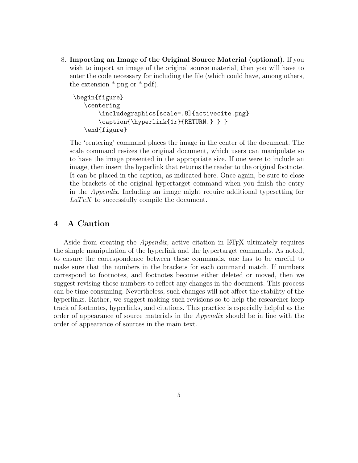8. Importing an Image of the Original Source Material (optional). If you wish to import an image of the original source material, then you will have to enter the code necessary for including the file (which could have, among others, the extension \*.png or \*.pdf).

```
\begin{figure}
   \centering
       \includegraphics[scale=.8]{activecite.png}
       \caption{\hyperlink{1r}{RETURN.} } }
   \end{figure}
```
The 'centering' command places the image in the center of the document. The scale command resizes the original document, which users can manipulate so to have the image presented in the appropriate size. If one were to include an image, then insert the hyperlink that returns the reader to the original footnote. It can be placed in the caption, as indicated here. Once again, be sure to close the brackets of the original hypertarget command when you finish the entry in the Appendix. Including an image might require additional typesetting for  $La TeX$  to successfully compile the document.

### 4 A Caution

Aside from creating the *Appendix*, active citation in LAT<sub>EX</sub> ultimately requires the simple manipulation of the hyperlink and the hypertarget commands. As noted, to ensure the correspondence between these commands, one has to be careful to make sure that the numbers in the brackets for each command match. If numbers correspond to footnotes, and footnotes become either deleted or moved, then we suggest revising those numbers to reflect any changes in the document. This process can be time-consuming. Nevertheless, such changes will not affect the stability of the hyperlinks. Rather, we suggest making such revisions so to help the researcher keep track of footnotes, hyperlinks, and citations. This practice is especially helpful as the order of appearance of source materials in the Appendix should be in line with the order of appearance of sources in the main text.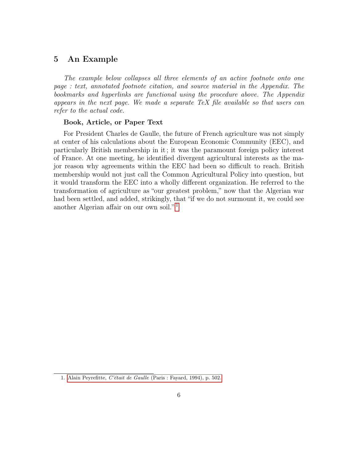### 5 An Example

The example below collapses all three elements of an active footnote onto one page : text, annotated footnote citation, and source material in the Appendix. The bookmarks and hyperlinks are functional using the procedure above. The Appendix appears in the next page. We made a separate TeX file available so that users can refer to the actual code.

#### <span id="page-5-1"></span>Book, Article, or Paper Text

For President Charles de Gaulle, the future of French agriculture was not simply at center of his calculations about the European Economic Community (EEC), and particularly British membership in it ; it was the paramount foreign policy interest of France. At one meeting, he identified divergent agricultural interests as the major reason why agreements within the EEC had been so difficult to reach. British membership would not just call the Common Agricultural Policy into question, but it would transform the EEC into a wholly different organization. He referred to the transformation of agriculture as "our greatest problem," now that the Algerian war had been settled, and added, strikingly, that "if we do not surmount it, we could see another Algerian affair on our own soil." [1](#page-5-0)

<span id="page-5-0"></span><sup>1.</sup> Alain Peyrefitte, C'était de Gaulle [\(Paris : Fayard, 1994\), p. 502.](#page-6-0)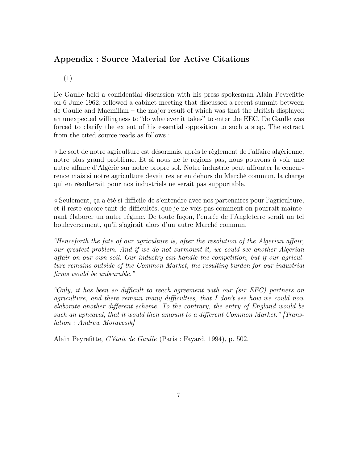# Appendix : Source Material for Active Citations

<span id="page-6-0"></span>(1)

De Gaulle held a confidential discussion with his press spokesman Alain Peyrefitte on 6 June 1962, followed a cabinet meeting that discussed a recent summit between de Gaulle and Macmillan – the major result of which was that the British displayed an unexpected willingness to "do whatever it takes" to enter the EEC. De Gaulle was forced to clarify the extent of his essential opposition to such a step. The extract from the cited source reads as follows :

« Le sort de notre agriculture est désormais, après le règlement de l'affaire algérienne, notre plus grand problème. Et si nous ne le regions pas, nous pouvons à voir une autre affaire d'Algérie sur notre propre sol. Notre industrie peut affronter la concurrence mais si notre agriculture devait rester en dehors du Marché commun, la charge qui en résulterait pour nos industriels ne serait pas supportable.

« Seulement, ça a été si difficile de s'entendre avec nos partenaires pour l'agriculture, et il reste encore tant de difficultés, que je ne vois pas comment on pourrait maintenant élaborer un autre régime. De toute façon, l'entrée de l'Angleterre serait un tel bouleversement, qu'il s'agirait alors d'un autre Marché commun.

"Henceforth the fate of our agriculture is, after the resolution of the Algerian affair, our greatest problem. And if we do not surmount it, we could see another Algerian affair on our own soil. Our industry can handle the competition, but if our agriculture remains outside of the Common Market, the resulting burden for our industrial firms would be unbearable."

"Only, it has been so difficult to reach agreement with our (six EEC) partners on agriculture, and there remain many difficulties, that I don't see how we could now elaborate another different scheme. To the contrary, the entry of England would be such an upheaval, that it would then amount to a different Common Market." [Translation : Andrew Moravcsik]

Alain Peyrefitte, C'était de Gaulle (Paris : Fayard, 1994), p. 502.